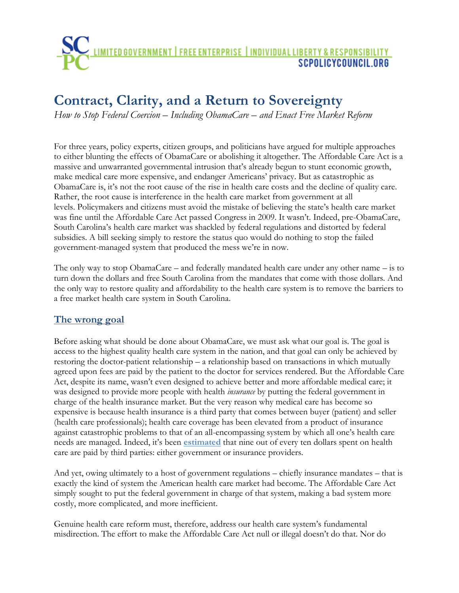# <u>IMITED GOVERNMENT | FREE ENTERPRISE | INDIVIDUAL LIBERTY & RESPONSIBILITY</u><br>SCPOLICYCOUNCIL.ORG

## **Contract, Clarity, and a Return to Sovereignty**

*How to Stop Federal Coercion – Including ObamaCare – and Enact Free Market Reform*

For three years, policy experts, citizen groups, and politicians have argued for multiple approaches to either blunting the effects of ObamaCare or abolishing it altogether. The Affordable Care Act is a massive and unwarranted governmental intrusion that's already begun to stunt economic growth, make medical care more expensive, and endanger Americans' privacy. But as catastrophic as ObamaCare is, it's not the root cause of the rise in health care costs and the decline of quality care. Rather, the root cause is interference in the health care market from government at all levels. Policymakers and citizens must avoid the mistake of believing the state's health care market was fine until the Affordable Care Act passed Congress in 2009. It wasn't. Indeed, pre-ObamaCare, South Carolina's health care market was shackled by federal regulations and distorted by federal subsidies. A bill seeking simply to restore the status quo would do nothing to stop the failed government-managed system that produced the mess we're in now.

The only way to stop ObamaCare – and federally mandated health care under any other name – is to turn down the dollars and free South Carolina from the mandates that come with those dollars. And the only way to restore quality and affordability to the health care system is to remove the barriers to a free market health care system in South Carolina.

### **The wrong goal**

Before asking what should be done about ObamaCare, we must ask what our goal is. The goal is access to the highest quality health care system in the nation, and that goal can only be achieved by restoring the doctor-patient relationship – a relationship based on transactions in which mutually agreed upon fees are paid by the patient to the doctor for services rendered. But the Affordable Care Act, despite its name, wasn't even designed to achieve better and more affordable medical care; it was designed to provide more people with health *insurance* by putting the federal government in charge of the health insurance market. But the very reason why medical care has become so expensive is because health insurance is a third party that comes between buyer (patient) and seller (health care professionals); health care coverage has been elevated from a product of insurance against catastrophic problems to that of an all-encompassing system by which all one's health care needs are managed. Indeed, it's been **[estimated](http://www.rasmussenreports.com/public_content/political_commentary/commentary_by_scott_rasmussen/to_fix_health_care_system_put_consumers_in_charge)** that nine out of every ten dollars spent on health care are paid by third parties: either government or insurance providers.

And yet, owing ultimately to a host of government regulations – chiefly insurance mandates – that is exactly the kind of system the American health care market had become. The Affordable Care Act simply sought to put the federal government in charge of that system, making a bad system more costly, more complicated, and more inefficient.

Genuine health care reform must, therefore, address our health care system's fundamental misdirection. The effort to make the Affordable Care Act null or illegal doesn't do that. Nor do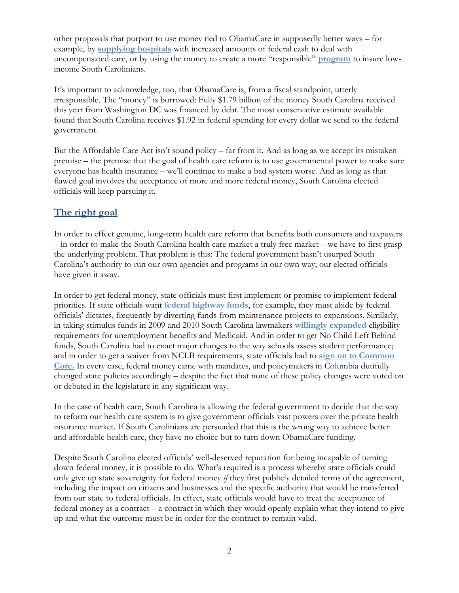other proposals that purport to use money tied to ObamaCare in supposedly better ways – for example, by **[supplying hospitals](http://www.scpolicycouncil.org/research/healthcare/obamacare-light)** with increased amounts of federal cash to deal with uncompensated care, or by using the money to create a more "responsible" **[program](http://www.scstatehouse.gov/sess120_2013-2014/bills/4095.htm)** to insure lowincome South Carolinians.

It's important to acknowledge, too, that ObamaCare is, from a fiscal standpoint, utterly irresponsible. The "money" is borrowed: Fully \$1.79 billion of the money South Carolina received this year from Washington DC was financed by debt. The most conservative estimate available found that South Carolina receives \$1.92 in federal spending for every dollar we send to the federal government.

But the Affordable Care Act isn't sound policy – far from it. And as long as we accept its mistaken premise – the premise that the goal of health care reform is to use governmental power to make sure everyone has health insurance – we'll continue to make a bad system worse. And as long as that flawed goal involves the acceptance of more and more federal money, South Carolina elected officials will keep pursuing it.

#### **The right goal**

In order to effect genuine, long-term health care reform that benefits both consumers and taxpayers – in order to make the South Carolina health care market a truly free market – we have to first grasp the underlying problem. That problem is this: The federal government hasn't usurped South Carolina's authority to run our own agencies and programs in our own way; our elected officials have given it away.

In order to get federal money, state officials must first implement or promise to implement federal priorities. If state officials want **[federal highway funds](http://www.scpolicycouncil.org/research/budget/road-funding-refor-without-tax-hikes)**, for example, they must abide by federal officials' dictates, frequently by diverting funds from maintenance projects to expansions. Similarly, in taking stimulus funds in 2009 and 2010 South Carolina lawmakers **[willingly expanded](http://www.scpolicycouncil.org/commentary/financial-coercion-federal-control-of-south-carolina-entitlements)** eligibility requirements for unemployment benefits and Medicaid. And in order to get No Child Left Behind funds, South Carolina had to enact major changes to the way schools assess student performance; and in order to get a waiver from NCLB requirements, state officials had to **[sign on to Common](http://www.scpolicycouncil.org/research/education/nclb-waiver)  [Core.](http://www.scpolicycouncil.org/research/education/nclb-waiver)** In every case, federal money came with mandates, and policymakers in Columbia dutifully changed state policies accordingly – despite the fact that none of these policy changes were voted on or debated in the legislature in any significant way.

In the case of health care, South Carolina is allowing the federal government to decide that the way to reform our health care system is to give government officials vast powers over the private health insurance market. If South Carolinians are persuaded that this is the wrong way to achieve better and affordable health care, they have no choice but to turn down ObamaCare funding.

Despite South Carolina elected officials' well-deserved reputation for being incapable of turning down federal money, it is possible to do. What's required is a process whereby state officials could only give up state sovereignty for federal money *if* they first publicly detailed terms of the agreement, including the impact on citizens and businesses and the specific authority that would be transferred from our state to federal officials. In effect, state officials would have to treat the acceptance of federal money as a contract – a contract in which they would openly explain what they intend to give up and what the outcome must be in order for the contract to remain valid.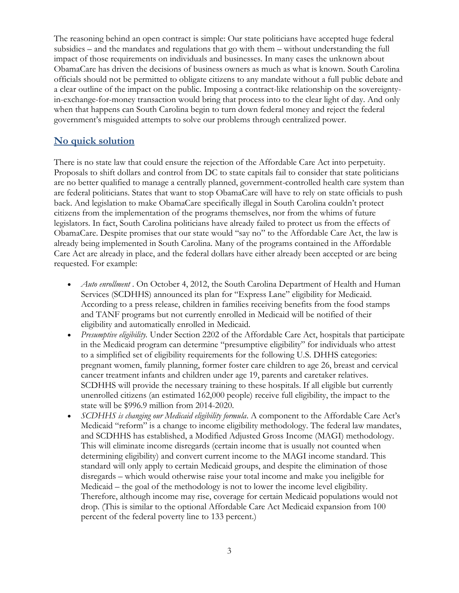The reasoning behind an open contract is simple: Our state politicians have accepted huge federal subsidies – and the mandates and regulations that go with them – without understanding the full impact of those requirements on individuals and businesses. In many cases the unknown about ObamaCare has driven the decisions of business owners as much as what is known. South Carolina officials should not be permitted to obligate citizens to any mandate without a full public debate and a clear outline of the impact on the public. Imposing a contract-like relationship on the sovereigntyin-exchange-for-money transaction would bring that process into to the clear light of day. And only when that happens can South Carolina begin to turn down federal money and reject the federal government's misguided attempts to solve our problems through centralized power.

#### **No quick solution**

There is no state law that could ensure the rejection of the Affordable Care Act into perpetuity. Proposals to shift dollars and control from DC to state capitals fail to consider that state politicians are no better qualified to manage a centrally planned, government-controlled health care system than are federal politicians. States that want to stop ObamaCare will have to rely on state officials to push back. And legislation to make ObamaCare specifically illegal in South Carolina couldn't protect citizens from the implementation of the programs themselves, nor from the whims of future legislators. In fact, South Carolina politicians have already failed to protect us from the effects of ObamaCare. Despite promises that our state would "say no" to the Affordable Care Act, the law is already being implemented in South Carolina. Many of the programs contained in the Affordable Care Act are already in place, and the federal dollars have either already been accepted or are being requested. For example:

- *Auto enrollment* . On October 4, 2012, the South Carolina Department of Health and Human Services (SCDHHS) announced its plan for "Express Lane" eligibility for Medicaid. According to a press release, children in families receiving benefits from the food stamps and TANF programs but not currently enrolled in Medicaid will be notified of their eligibility and automatically enrolled in Medicaid.
- *Presumptive eligibility.* Under Section 2202 of the Affordable Care Act, hospitals that participate in the Medicaid program can determine "presumptive eligibility" for individuals who attest to a simplified set of eligibility requirements for the following U.S. DHHS categories: pregnant women, family planning, former foster care children to age 26, breast and cervical cancer treatment infants and children under age 19, parents and caretaker relatives. SCDHHS will provide the necessary training to these hospitals. If all eligible but currently unenrolled citizens (an estimated 162,000 people) receive full eligibility, the impact to the state will be \$996.9 million from 2014-2020.
- *SCDHHS is changing our Medicaid eligibility formula*. A component to the Affordable Care Act's Medicaid "reform" is a change to income eligibility methodology. The federal law mandates, and SCDHHS has established, a Modified Adjusted Gross Income (MAGI) methodology. This will eliminate income disregards (certain income that is usually not counted when determining eligibility) and convert current income to the MAGI income standard. This standard will only apply to certain Medicaid groups, and despite the elimination of those disregards – which would otherwise raise your total income and make you ineligible for Medicaid – the goal of the methodology is not to lower the income level eligibility. Therefore, although income may rise, coverage for certain Medicaid populations would not drop. (This is similar to the optional Affordable Care Act Medicaid expansion from 100 percent of the federal poverty line to 133 percent.)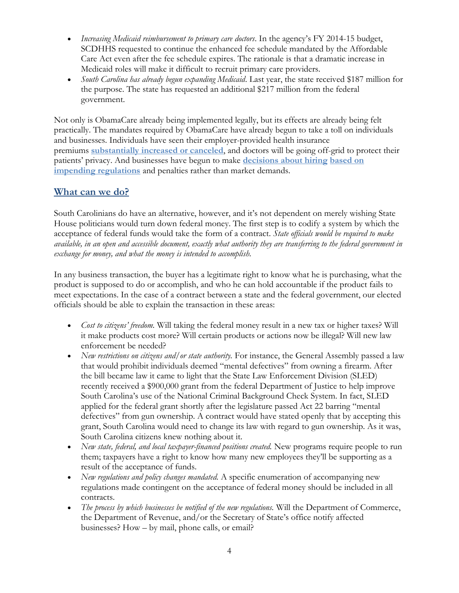- *Increasing Medicaid reimbursement to primary care doctors*. In the agency's FY 2014-15 budget, SCDHHS requested to continue the enhanced fee schedule mandated by the Affordable Care Act even after the fee schedule expires. The rationale is that a dramatic increase in Medicaid roles will make it difficult to recruit primary care providers.
- *South Carolina has already begun expanding Medicaid*. Last year, the state received \$187 million for the purpose. The state has requested an additional \$217 million from the federal government.

Not only is ObamaCare already being implemented legally, but its effects are already being felt practically. The mandates required by ObamaCare have already begun to take a toll on individuals and businesses. Individuals have seen their employer-provided health insurance premiums **[substantially increased or canceled](http://thenerve.org/news/2013/10/29/obamacare-responses/)**, and doctors will be going off-grid to protect their patients' privacy. And businesses have begun to make **[decisions about hiring](http://www.carolinalive.com/news/story.aspx?id=931155#.Unm9F_mkruR) [based on](http://www.cmmonline.com/articles/print/231075-the-affordable-care-act-and-cleaning-businesses)  [impending regulations](http://www.cmmonline.com/articles/print/231075-the-affordable-care-act-and-cleaning-businesses)** and penalties rather than market demands.

#### **What can we do?**

South Carolinians do have an alternative, however, and it's not dependent on merely wishing State House politicians would turn down federal money. The first step is to codify a system by which the acceptance of federal funds would take the form of a contract. *State officials would be required to make available, in an open and accessible document, exactly what authority they are transferring to the federal government in exchange for money, and what the money is intended to accomplish.*

In any business transaction, the buyer has a legitimate right to know what he is purchasing, what the product is supposed to do or accomplish, and who he can hold accountable if the product fails to meet expectations. In the case of a contract between a state and the federal government, our elected officials should be able to explain the transaction in these areas:

- *Cost to citizens' freedom.* Will taking the federal money result in a new tax or higher taxes? Will it make products cost more? Will certain products or actions now be illegal? Will new law enforcement be needed?
- *New restrictions on citizens and/or state authority.* For instance, the General Assembly passed a law that would prohibit individuals deemed "mental defectives" from owning a firearm. After the bill became law it came to light that the State Law Enforcement Division (SLED) recently received a \$900,000 grant from the federal Department of Justice to help improve South Carolina's use of the National Criminal Background Check System. In fact, SLED applied for the federal grant shortly after the legislature passed Act 22 barring "mental defectives" from gun ownership. A contract would have stated openly that by accepting this grant, South Carolina would need to change its law with regard to gun ownership. As it was, South Carolina citizens knew nothing about it.
- *New state, federal, and local taxpayer-financed positions created.* New programs require people to run them; taxpayers have a right to know how many new employees they'll be supporting as a result of the acceptance of funds.
- *New regulations and policy changes mandated.* A specific enumeration of accompanying new regulations made contingent on the acceptance of federal money should be included in all contracts.
- *The process by which businesses be notified of the new regulations.* Will the Department of Commerce, the Department of Revenue, and/or the Secretary of State's office notify affected businesses? How – by mail, phone calls, or email?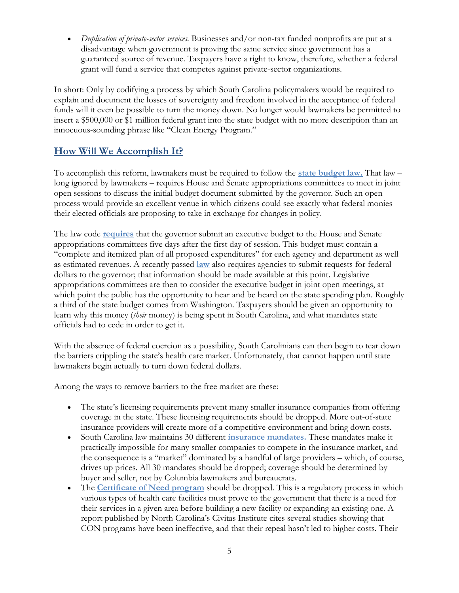*Duplication of private-sector services.* Businesses and/or non-tax funded nonprofits are put at a disadvantage when government is proving the same service since government has a guaranteed source of revenue. Taxpayers have a right to know, therefore, whether a federal grant will fund a service that competes against private-sector organizations.

In short: Only by codifying a process by which South Carolina policymakers would be required to explain and document the losses of sovereignty and freedom involved in the acceptance of federal funds will it even be possible to turn the money down. No longer would lawmakers be permitted to insert a \$500,000 or \$1 million federal grant into the state budget with no more description than an innocuous-sounding phrase like "Clean Energy Program."

#### **How Will We Accomplish It?**

To accomplish this reform, lawmakers must be required to follow the **[state budget law.](http://www.scpolicycouncil.org/research/budget/why-the-states-open-budget-law-matters)** That law – long ignored by lawmakers – requires House and Senate appropriations committees to meet in joint open sessions to discuss the initial budget document submitted by the governor. Such an open process would provide an excellent venue in which citizens could see exactly what federal monies their elected officials are proposing to take in exchange for changes in policy.

The law code **[requires](http://bit.ly/WnTqUG)** that the governor submit an executive budget to the House and Senate appropriations committees five days after the first day of session. This budget must contain a "complete and itemized plan of all proposed expenditures" for each agency and department as well as estimated revenues. A recently passed **[law](http://scstatehouse.gov/sess119_2011-2012/bills/312.htm)** also requires agencies to submit requests for federal dollars to the governor; that information should be made available at this point. Legislative appropriations committees are then to consider the executive budget in joint open meetings, at which point the public has the opportunity to hear and be heard on the state spending plan. Roughly a third of the state budget comes from Washington. Taxpayers should be given an opportunity to learn why this money (*their* money) is being spent in South Carolina, and what mandates state officials had to cede in order to get it.

With the absence of federal coercion as a possibility, South Carolinians can then begin to tear down the barriers crippling the state's health care market. Unfortunately, that cannot happen until state lawmakers begin actually to turn down federal dollars.

Among the ways to remove barriers to the free market are these:

- The state's licensing requirements prevent many smaller insurance companies from offering coverage in the state. These licensing requirements should be dropped. More out-of-state insurance providers will create more of a competitive environment and bring down costs.
- South Carolina law maintains 30 different **[insurance mandates.](http://doi.sc.gov/DocumentCenter/View/2570)** These mandates make it practically impossible for many smaller companies to compete in the insurance market, and the consequence is a "market" dominated by a handful of large providers – which, of course, drives up prices. All 30 mandates should be dropped; coverage should be determined by buyer and seller, not by Columbia lawmakers and bureaucrats.
- The **[Certificate of Need program](http://www.scpolicycouncil.org/research/healthcare/con-not-needed)** should be dropped. This is a regulatory process in which various types of health care facilities must prove to the government that there is a need for their services in a given area before building a new facility or expanding an existing one. A report published by North Carolina's Civitas Institute cites several studies showing that CON programs have been ineffective, and that their repeal hasn't led to higher costs. Their